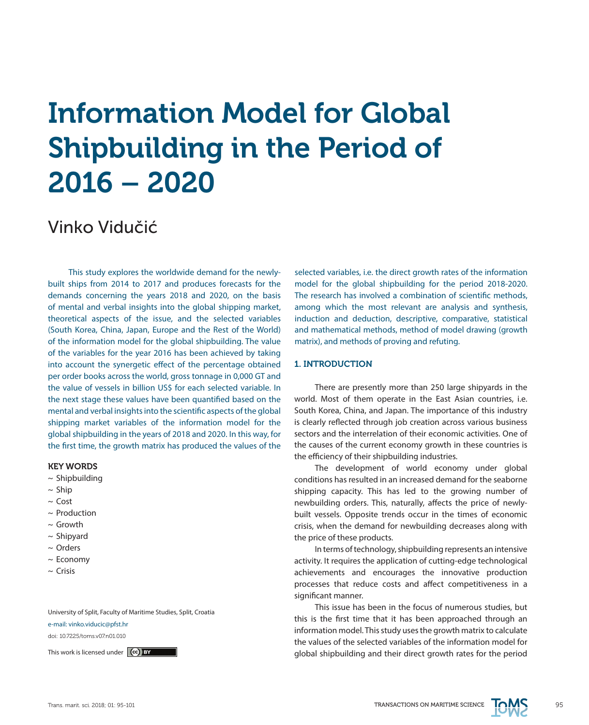# Information Model for Global Shipbuilding in the Period of 2016 – 2020

# Vinko Vidučić

This study explores the worldwide demand for the newlybuilt ships from 2014 to 2017 and produces forecasts for the demands concerning the years 2018 and 2020, on the basis of mental and verbal insights into the global shipping market, theoretical aspects of the issue, and the selected variables (South Korea, China, Japan, Europe and the Rest of the World) of the information model for the global shipbuilding. The value of the variables for the year 2016 has been achieved by taking into account the synergetic effect of the percentage obtained per order books across the world, gross tonnage in 0,000 GT and the value of vessels in billion US\$ for each selected variable. In the next stage these values have been quantified based on the mental and verbal insights into the scientific aspects of the global shipping market variables of the information model for the global shipbuilding in the years of 2018 and 2020. In this way, for the first time, the growth matrix has produced the values of the

### KEY WORDS

- $\sim$  Shipbuilding
- $\sim$  Ship
- $\sim$  Cost
- $\sim$  Production
- $\sim$  Growth
- $\sim$  Shipyard
- ~ Orders
- ~ Economy
- $\sim$  Crisis

University of Split, Faculty of Maritime Studies, Split, Croatia

e-mail: vinko.viducic@pfst.hr

doi: 10.7225/toms.v07.n01.010

selected variables, i.e. the direct growth rates of the information model for the global shipbuilding for the period 2018-2020. The research has involved a combination of scientific methods, among which the most relevant are analysis and synthesis, induction and deduction, descriptive, comparative, statistical and mathematical methods, method of model drawing (growth matrix), and methods of proving and refuting.

# 1. INTRODUCTION

There are presently more than 250 large shipyards in the world. Most of them operate in the East Asian countries, i.e. South Korea, China, and Japan. The importance of this industry is clearly reflected through job creation across various business sectors and the interrelation of their economic activities. One of the causes of the current economy growth in these countries is the efficiency of their shipbuilding industries.

The development of world economy under global conditions has resulted in an increased demand for the seaborne shipping capacity. This has led to the growing number of newbuilding orders. This, naturally, affects the price of newlybuilt vessels. Opposite trends occur in the times of economic crisis, when the demand for newbuilding decreases along with the price of these products.

In terms of technology, shipbuilding represents an intensive activity. It requires the application of cutting-edge technological achievements and encourages the innovative production processes that reduce costs and affect competitiveness in a significant manner.

This issue has been in the focus of numerous studies, but this is the first time that it has been approached through an information model. This study uses the growth matrix to calculate the values of the selected variables of the information model for This work is licensed under  $(c)$  by

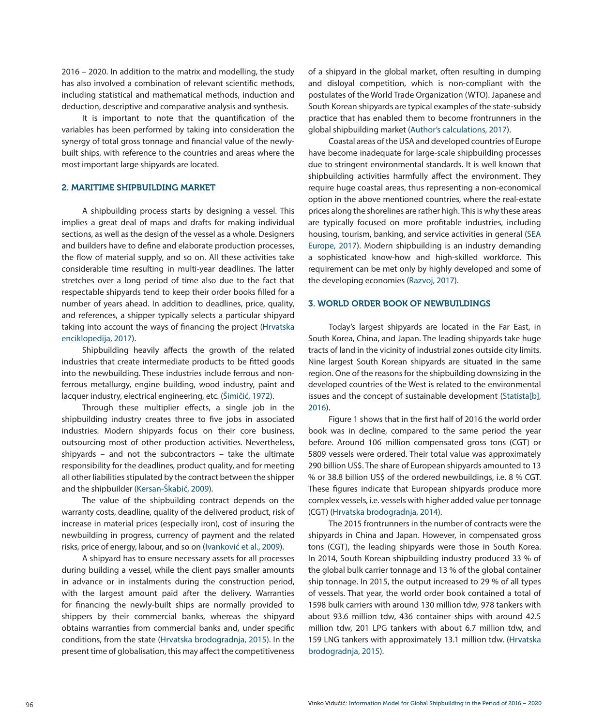2016 – 2020. In addition to the matrix and modelling, the study has also involved a combination of relevant scientific methods, including statistical and mathematical methods, induction and deduction, descriptive and comparative analysis and synthesis.

It is important to note that the quantification of the variables has been performed by taking into consideration the synergy of total gross tonnage and financial value of the newlybuilt ships, with reference to the countries and areas where the most important large shipyards are located.

# 2. MARITIME SHIPBUILDING MARKET

A shipbuilding process starts by designing a vessel. This implies a great deal of maps and drafts for making individual sections, as well as the design of the vessel as a whole. Designers and builders have to define and elaborate production processes, the flow of material supply, and so on. All these activities take considerable time resulting in multi-year deadlines. The latter stretches over a long period of time also due to the fact that respectable shipyards tend to keep their order books filled for a number of years ahead. In addition to deadlines, price, quality, and references, a shipper typically selects a particular shipyard taking into account the ways of financing the project (Hrvatska enciklopedija, 2017).

Shipbuilding heavily affects the growth of the related industries that create intermediate products to be fitted goods into the newbuilding. These industries include ferrous and nonferrous metallurgy, engine building, wood industry, paint and lacquer industry, electrical engineering, etc. (Šimičić, 1972).

Through these multiplier effects, a single job in the shipbuilding industry creates three to five jobs in associated industries. Modern shipyards focus on their core business, outsourcing most of other production activities. Nevertheless, shipyards – and not the subcontractors – take the ultimate responsibility for the deadlines, product quality, and for meeting all other liabilities stipulated by the contract between the shipper and the shipbuilder (Kersan-Škabić, 2009).

The value of the shipbuilding contract depends on the warranty costs, deadline, quality of the delivered product, risk of increase in material prices (especially iron), cost of insuring the newbuilding in progress, currency of payment and the related risks, price of energy, labour, and so on (Ivanković et al., 2009).

A shipyard has to ensure necessary assets for all processes during building a vessel, while the client pays smaller amounts in advance or in instalments during the construction period, with the largest amount paid after the delivery. Warranties for financing the newly-built ships are normally provided to shippers by their commercial banks, whereas the shipyard obtains warranties from commercial banks and, under specific conditions, from the state (Hrvatska brodogradnja, 2015). In the present time of globalisation, this may affect the competitiveness of a shipyard in the global market, often resulting in dumping and disloyal competition, which is non-compliant with the postulates of the World Trade Organization (WTO). Japanese and South Korean shipyards are typical examples of the state-subsidy practice that has enabled them to become frontrunners in the global shipbuilding market (Author's calculations, 2017).

Coastal areas of the USA and developed countries of Europe have become inadequate for large-scale shipbuilding processes due to stringent environmental standards. It is well known that shipbuilding activities harmfully affect the environment. They require huge coastal areas, thus representing a non-economical option in the above mentioned countries, where the real-estate prices along the shorelines are rather high. This is why these areas are typically focused on more profitable industries, including housing, tourism, banking, and service activities in general (SEA Europe, 2017). Modern shipbuilding is an industry demanding a sophisticated know-how and high-skilled workforce. This requirement can be met only by highly developed and some of the developing economies (Razvoj, 2017).

#### 3. WORLD ORDER BOOK OF NEWBUILDINGS

Today's largest shipyards are located in the Far East, in South Korea, China, and Japan. The leading shipyards take huge tracts of land in the vicinity of industrial zones outside city limits. Nine largest South Korean shipyards are situated in the same region. One of the reasons for the shipbuilding downsizing in the developed countries of the West is related to the environmental issues and the concept of sustainable development (Statista[b], 2016).

Figure 1 shows that in the first half of 2016 the world order book was in decline, compared to the same period the year before. Around 106 million compensated gross tons (CGT) or 5809 vessels were ordered. Their total value was approximately 290 billion US\$. The share of European shipyards amounted to 13 % or 38.8 billion US\$ of the ordered newbuildings, i.e. 8 % CGT. These figures indicate that European shipyards produce more complex vessels, i.e. vessels with higher added value per tonnage (CGT) (Hrvatska brodogradnja, 2014).

The 2015 frontrunners in the number of contracts were the shipyards in China and Japan. However, in compensated gross tons (CGT), the leading shipyards were those in South Korea. In 2014, South Korean shipbuilding industry produced 33 % of the global bulk carrier tonnage and 13 % of the global container ship tonnage. In 2015, the output increased to 29 % of all types of vessels. That year, the world order book contained a total of 1598 bulk carriers with around 130 million tdw, 978 tankers with about 93.6 million tdw, 436 container ships with around 42.5 million tdw, 201 LPG tankers with about 6.7 million tdw, and 159 LNG tankers with approximately 13.1 million tdw. (Hrvatska brodogradnja, 2015).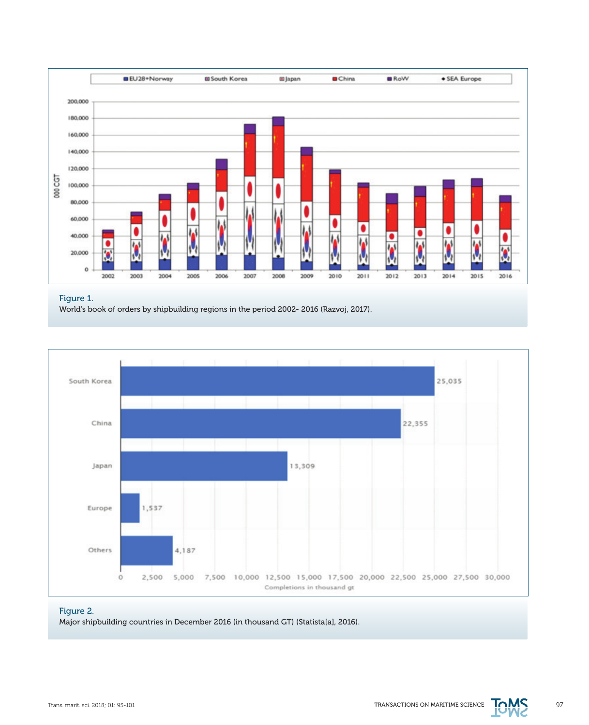

## Figure 1.

World's book of orders by shipbuilding regions in the period 2002- 2016 (Razvoj, 2017).



# Figure 2.

Major shipbuilding countries in December 2016 (in thousand GT) (Statista[a], 2016).

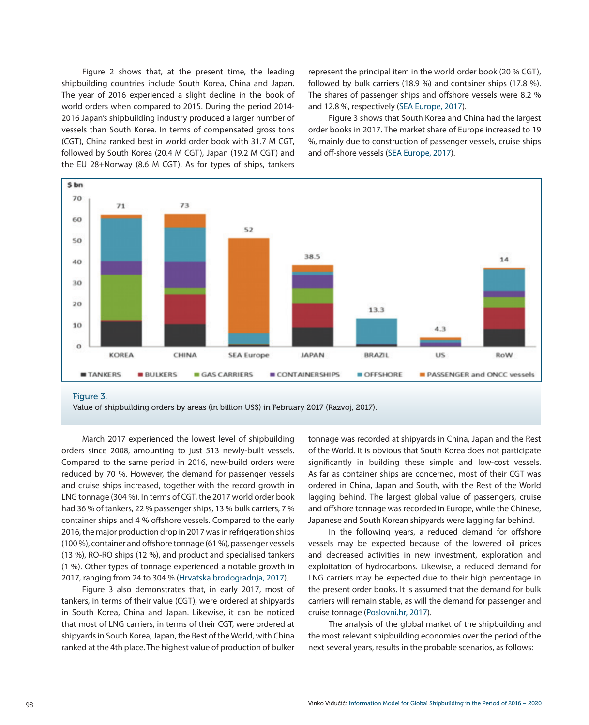Figure 2 shows that, at the present time, the leading shipbuilding countries include South Korea, China and Japan. The year of 2016 experienced a slight decline in the book of world orders when compared to 2015. During the period 2014- 2016 Japan's shipbuilding industry produced a larger number of vessels than South Korea. In terms of compensated gross tons (CGT), China ranked best in world order book with 31.7 M CGT, followed by South Korea (20.4 M CGT), Japan (19.2 M CGT) and the EU 28+Norway (8.6 M CGT). As for types of ships, tankers represent the principal item in the world order book (20 % CGT), followed by bulk carriers (18.9 %) and container ships (17.8 %). The shares of passenger ships and offshore vessels were 8.2 % and 12.8 %, respectively (SEA Europe, 2017).

Figure 3 shows that South Korea and China had the largest order books in 2017. The market share of Europe increased to 19 %, mainly due to construction of passenger vessels, cruise ships and off-shore vessels (SEA Europe, 2017).



Figure 3.

Value of shipbuilding orders by areas (in billion US\$) in February 2017 (Razvoj, 2017).

March 2017 experienced the lowest level of shipbuilding orders since 2008, amounting to just 513 newly-built vessels. Compared to the same period in 2016, new-build orders were reduced by 70 %. However, the demand for passenger vessels and cruise ships increased, together with the record growth in LNG tonnage (304 %). In terms of CGT, the 2017 world order book had 36 % of tankers, 22 % passenger ships, 13 % bulk carriers, 7 % container ships and 4 % offshore vessels. Compared to the early 2016, the major production drop in 2017 was in refrigeration ships (100 %), container and offshore tonnage (61 %), passenger vessels (13 %), RO-RO ships (12 %), and product and specialised tankers (1 %). Other types of tonnage experienced a notable growth in 2017, ranging from 24 to 304 % (Hrvatska brodogradnja, 2017).

Figure 3 also demonstrates that, in early 2017, most of tankers, in terms of their value (CGT), were ordered at shipyards in South Korea, China and Japan. Likewise, it can be noticed that most of LNG carriers, in terms of their CGT, were ordered at shipyards in South Korea, Japan, the Rest of the World, with China ranked at the 4th place. The highest value of production of bulker

tonnage was recorded at shipyards in China, Japan and the Rest of the World. It is obvious that South Korea does not participate significantly in building these simple and low-cost vessels. As far as container ships are concerned, most of their CGT was ordered in China, Japan and South, with the Rest of the World lagging behind. The largest global value of passengers, cruise and offshore tonnage was recorded in Europe, while the Chinese, Japanese and South Korean shipyards were lagging far behind.

In the following years, a reduced demand for offshore vessels may be expected because of the lowered oil prices and decreased activities in new investment, exploration and exploitation of hydrocarbons. Likewise, a reduced demand for LNG carriers may be expected due to their high percentage in the present order books. It is assumed that the demand for bulk carriers will remain stable, as will the demand for passenger and cruise tonnage [\(Poslovni.hr, 2017](https://gisis.imo.org)).

The analysis of the global market of the shipbuilding and the most relevant shipbuilding economies over the period of the next several years, results in the probable scenarios, as follows: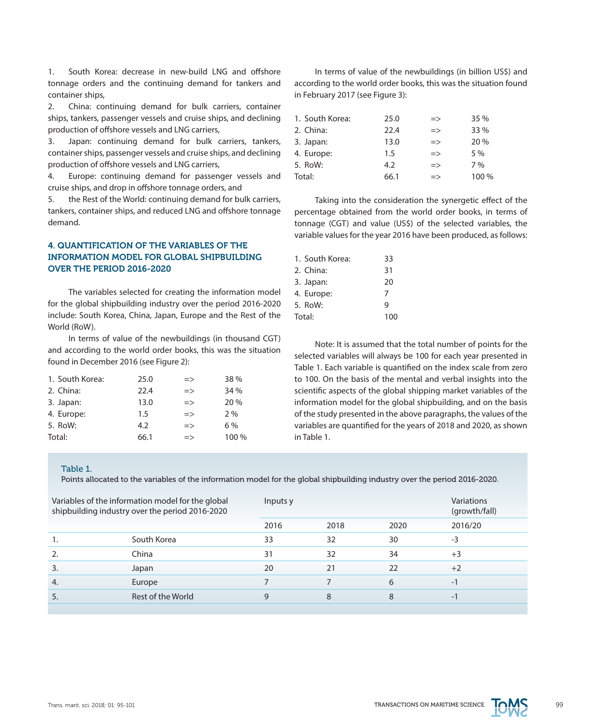1. South Korea: decrease in new-build LNG and offshore tonnage orders and the continuing demand for tankers and container ships,

2. China: continuing demand for bulk carriers, container ships, tankers, passenger vessels and cruise ships, and declining production of offshore vessels and LNG carriers,

3. Japan: continuing demand for bulk carriers, tankers, container ships, passenger vessels and cruise ships, and declining production of offshore vessels and LNG carriers,

4. Europe: continuing demand for passenger vessels and cruise ships, and drop in offshore tonnage orders, and

5. the Rest of the World: continuing demand for bulk carriers, tankers, container ships, and reduced LNG and offshore tonnage demand.

# 4. QUANTIFICATION OF THE VARIABLES OF THE INFORMATION MODEL FOR GLOBAL SHIPBUILDING OVER THE PERIOD 2016-2020

The variables selected for creating the information model for the global shipbuilding industry over the period 2016-2020 include: South Korea, China, Japan, Europe and the Rest of the World (RoW).

In terms of value of the newbuildings (in thousand CGT) and according to the world order books, this was the situation found in December 2016 (see Figure 2):

| 1. South Korea: | 25.0 | $\Rightarrow$ | 38 %  |
|-----------------|------|---------------|-------|
| 2. China:       | 22.4 | $\Rightarrow$ | 34 %  |
| 3. Japan:       | 13.0 | $\Rightarrow$ | 20 %  |
| 4. Europe:      | 1.5  | $\Rightarrow$ | 2%    |
| 5. RoW:         | 4.2  | $\Rightarrow$ | 6%    |
| Total:          | 66.1 | $\Rightarrow$ | 100 % |

In terms of value of the newbuildings (in billion US\$) and according to the world order books, this was the situation found in February 2017 (see Figure 3):

| 1. South Korea: | 25.0 | $\Rightarrow$ | 35 %  |
|-----------------|------|---------------|-------|
| 2. China:       | 22.4 | $\Rightarrow$ | 33 %  |
| 3. Japan:       | 13.0 | $\Rightarrow$ | 20 %  |
| 4. Europe:      | 1.5  | $\Rightarrow$ | 5 %   |
| 5. RoW:         | 4.2  | $\Rightarrow$ | 7%    |
| Total:          | 66.1 | $\Rightarrow$ | 100 % |

Taking into the consideration the synergetic effect of the percentage obtained from the world order books, in terms of tonnage (CGT) and value (US\$) of the selected variables, the variable values for the year 2016 have been produced, as follows:

| 1. South Korea: | 33  |
|-----------------|-----|
| 2. China:       | 31  |
| 3. Japan:       | 20  |
| 4. Europe:      | 7   |
| 5. RoW:         | q   |
| Total:          | 100 |

Note: It is assumed that the total number of points for the selected variables will always be 100 for each year presented in Table 1. Each variable is quantified on the index scale from zero to 100. On the basis of the mental and verbal insights into the scientific aspects of the global shipping market variables of the information model for the global shipbuilding, and on the basis of the study presented in the above paragraphs, the values of the variables are quantified for the years of 2018 and 2020, as shown in Table 1.

#### Table 1.

Points allocated to the variables of the information model for the global shipbuilding industry over the period 2016-2020.

|                  | Variables of the information model for the global<br>shipbuilding industry over the period 2016-2020 | Inputs y | Variations<br>(growth/fall) |      |         |
|------------------|------------------------------------------------------------------------------------------------------|----------|-----------------------------|------|---------|
|                  |                                                                                                      | 2016     | 2018                        | 2020 | 2016/20 |
| 1.               | South Korea                                                                                          | 33       | 32                          | 30   | $-3$    |
| 2.               | China                                                                                                | 31       | 32                          | 34   | $+3$    |
| $\overline{3}$ . | Japan                                                                                                | 20       | 21                          | 22   | $+2$    |
| 4.               | Europe                                                                                               |          |                             | 6    | $-1$    |
| 5.               | Rest of the World                                                                                    | 9        | 8                           | 8    | - 1     |
|                  |                                                                                                      |          |                             |      |         |

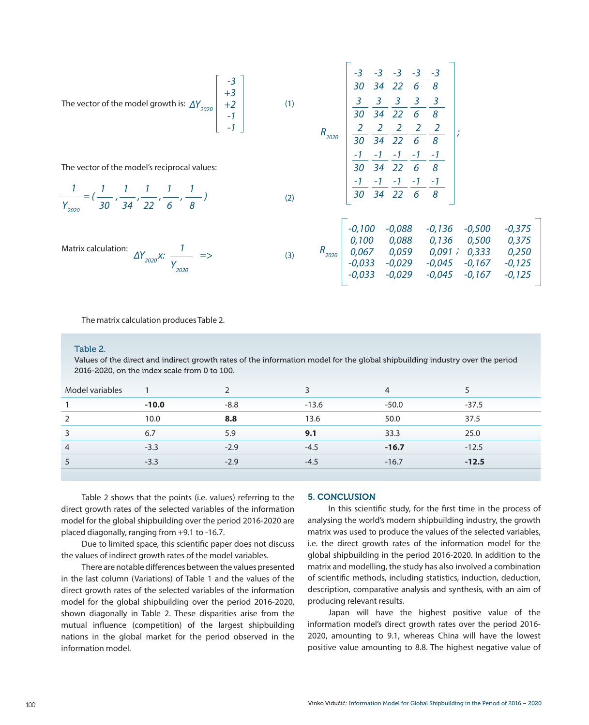The vector of the model growth is: 
$$
\Delta Y_{2020}
$$
  $\begin{bmatrix} -3 \\ +3 \\ +2 \\ -1 \end{bmatrix}$   
\n
$$
\begin{bmatrix} -3 \\ +3 \\ -1 \\ -1 \end{bmatrix}
$$
\n
$$
\begin{bmatrix} 1 \\ 1 \\ 2 \\ -1 \end{bmatrix}
$$
\n
$$
\begin{bmatrix} 1 \\ 2 \\ 3 \\ 3 \end{bmatrix}
$$
\n
$$
\begin{bmatrix} -3 \\ 3 \\ 3 \\ 4 \end{bmatrix}
$$
\n
$$
\begin{bmatrix} -3 \\ 3 \\ 3 \\ 2 \end{bmatrix}
$$
\n
$$
\begin{bmatrix} -3 \\ 3 \\ 3 \\ 4 \end{bmatrix}
$$
\n
$$
\begin{bmatrix} -3 \\ 3 \\ 4 \end{bmatrix}
$$
\n
$$
\begin{bmatrix} 3 \\ 3 \\ 2 \\ 3 \end{bmatrix}
$$
\n
$$
\begin{bmatrix} 3 \\ 2 \\ 3 \\ 4 \end{bmatrix}
$$
\n
$$
\begin{bmatrix} 3 \\ 2 \\ 3 \\ 4 \end{bmatrix}
$$
\n
$$
\begin{bmatrix} 2 \\ 2 \\ 3 \\ 4 \end{bmatrix}
$$
\n
$$
\begin{bmatrix} 2 \\ 2 \\ 3 \\ 4 \end{bmatrix}
$$
\n
$$
\begin{bmatrix} 2 \\ 2 \\ 3 \\ 4 \end{bmatrix}
$$
\n
$$
\begin{bmatrix} -1 \\ -1 \\ 2 \\ 2 \end{bmatrix}
$$
\n
$$
\begin{bmatrix} -1 \\ -1 \\ 2 \\ 2 \end{bmatrix}
$$
\n
$$
\begin{bmatrix} -1 \\ -1 \\ 2 \\ 2 \end{bmatrix}
$$
\n
$$
\begin{bmatrix} -1 \\ -1 \\ 2 \\ 2 \end{bmatrix}
$$
\n
$$
\begin{bmatrix} -1 \\ 2 \\ 2 \\ 2 \end{bmatrix}
$$

The vector of the model's reciprocal values:

$$
\frac{1}{Y_{2020}} = \left(\frac{1}{30}, \frac{1}{34}, \frac{1}{22}, \frac{1}{6}, \frac{1}{8}\right)
$$

*Y2020*

| Aatrix calculation: |                    |  |
|---------------------|--------------------|--|
|                     | $\Delta Y_{2020}X$ |  |

|               |  | $\frac{3}{30}$ $\frac{3}{34}$ $\frac{3}{22}$ $\frac{3}{6}$ $\frac{3}{8}$ |                                                                                                                                                                                                                                            |                                              |  |
|---------------|--|--------------------------------------------------------------------------|--------------------------------------------------------------------------------------------------------------------------------------------------------------------------------------------------------------------------------------------|----------------------------------------------|--|
|               |  |                                                                          |                                                                                                                                                                                                                                            |                                              |  |
| $R_{_{2020}}$ |  |                                                                          |                                                                                                                                                                                                                                            |                                              |  |
|               |  |                                                                          |                                                                                                                                                                                                                                            |                                              |  |
|               |  |                                                                          | $\frac{2}{30}$ $\frac{2}{34}$ $\frac{2}{22}$ $\frac{2}{6}$ $\frac{2}{8}$<br>$\frac{-1}{30}$ $\frac{-1}{34}$ $\frac{-1}{22}$ $\frac{-1}{6}$ $\frac{-1}{8}$<br>$\frac{-1}{30}$ $\frac{-1}{34}$ $\frac{-1}{22}$ $\frac{-1}{6}$ $\frac{-1}{8}$ |                                              |  |
|               |  |                                                                          |                                                                                                                                                                                                                                            |                                              |  |
|               |  |                                                                          |                                                                                                                                                                                                                                            |                                              |  |
|               |  |                                                                          |                                                                                                                                                                                                                                            |                                              |  |
|               |  |                                                                          |                                                                                                                                                                                                                                            |                                              |  |
|               |  |                                                                          |                                                                                                                                                                                                                                            | $-0,100$ $-0,088$ $-0,136$ $-0,500$ $-0,375$ |  |

| -0, I UU | -U,U88   | -0,130          | -0,500            | -U.375   |  |
|----------|----------|-----------------|-------------------|----------|--|
| 0.100    | 0,088    | 0.136           | <i>0.500</i>      | 0,375    |  |
| 0,067    | 0,059    |                 | $0.091$ ; $0.333$ | 0,250    |  |
| $-0.033$ | $-0.029$ | $-0.045 -0.167$ |                   | $-0.125$ |  |
| $-0,033$ | $-0,029$ | $-0,045 -0,167$ |                   | $-0.125$ |  |
|          |          |                 |                   |          |  |

The matrix calculation produces Table 2.

#### Table 2.

Values of the direct and indirect growth rates of the information model for the global shipbuilding industry over the period 2016-2020, on the index scale from 0 to 100.

(2)

(3)

|         |        | 3       | 4       |         |
|---------|--------|---------|---------|---------|
| $-10.0$ | $-8.8$ | $-13.6$ | $-50.0$ | $-37.5$ |
| 10.0    | 8.8    | 13.6    | 50.0    | 37.5    |
| 6.7     | 5.9    | 9.1     | 33.3    | 25.0    |
| $-3.3$  | $-2.9$ | $-4.5$  | $-16.7$ | $-12.5$ |
| $-3.3$  | $-2.9$ | $-4.5$  | $-16.7$ | $-12.5$ |
|         |        |         |         |         |

Table 2 shows that the points (i.e. values) referring to the direct growth rates of the selected variables of the information model for the global shipbuilding over the period 2016-2020 are placed diagonally, ranging from +9.1 to -16.7.

Due to limited space, this scientific paper does not discuss the values of indirect growth rates of the model variables.

There are notable differences between the values presented in the last column (Variations) of Table 1 and the values of the direct growth rates of the selected variables of the information model for the global shipbuilding over the period 2016-2020, shown diagonally in Table 2. These disparities arise from the mutual influence (competition) of the largest shipbuilding nations in the global market for the period observed in the information model.

#### 5. CONCLUSION

In this scientific study, for the first time in the process of analysing the world's modern shipbuilding industry, the growth matrix was used to produce the values of the selected variables, i.e. the direct growth rates of the information model for the global shipbuilding in the period 2016-2020. In addition to the matrix and modelling, the study has also involved a combination of scientific methods, including statistics, induction, deduction, description, comparative analysis and synthesis, with an aim of producing relevant results.

Japan will have the highest positive value of the information model's direct growth rates over the period 2016- 2020, amounting to 9.1, whereas China will have the lowest positive value amounting to 8.8. The highest negative value of